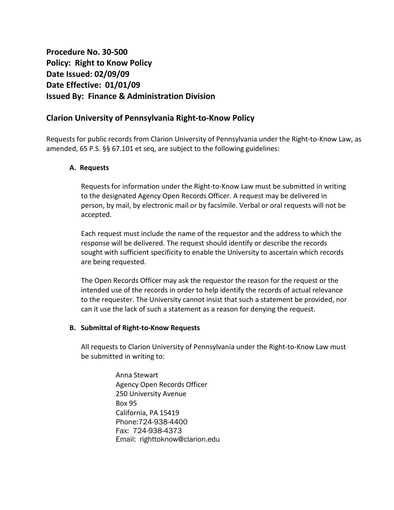# **Procedure No. 30-500 Policy: Right to Know Policy Date Issued: 02/09/09 Date Effective: 01/01/09 Issued By: Finance & Administration Division**

## **Clarion University of Pennsylvania Right-to-Know Policy**

Requests for public records from Clarion University of Pennsylvania under the Right-to-Know Law, as amended, 65 P.S. §§ 67.101 et seq, are subject to the following guidelines:

## **A. Requests**

Requests for information under the Right-to-Know Law must be submitted in writing to the designated Agency Open Records Officer. A request may be delivered in person, by mail, by electronic mail or by facsimile. Verbal or oral requests will not be accepted.

Each request must include the name of the requestor and the address to which the response will be delivered. The request should identify or describe the records sought with sufficient specificity to enable the University to ascertain which records are being requested.

The Open Records Officer may ask the requestor the reason for the request or the intended use of the records in order to help identify the records of actual relevance to the requester. The University cannot insist that such a statement be provided, nor can it use the lack of such a statement as a reason for denying the request.

## **B. Submittal of Right-to-Know Requests**

All requests to Clarion University of Pennsylvania under the Right-to-Know Law must be submitted in writing to:

> Anna Stewart Agency Open Records Officer 250 University Avenue Box 95 California, PA 15419 Phone:724-938-4400 Fax: 724-938-4373 Email: righttoknow@clarion.edu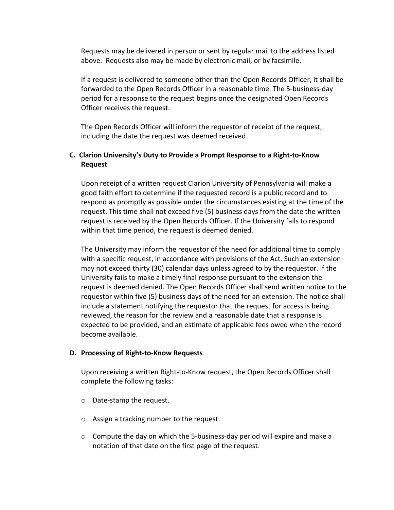Requests may be delivered in person or sent by regular mail to the address listed above. Requests also may be made by electronic mail, or by facsimile.

If a request is delivered to someone other than the Open Records Officer, it shall be forwarded to the Open Records Officer in a reasonable time. The 5-business-day period for a response to the request begins once the designated Open Records Officer receives the request.

The Open Records Officer will inform the requestor of receipt of the request, including the date the request was deemed received.

## **C. Clarion University's Duty to Provide a Prompt Response to a Right-to-Know Request**

Upon receipt of a written request Clarion University of Pennsylvania will make a good faith effort to determine if the requested record is a public record and to respond as promptly as possible under the circumstances existing at the time of the request. This time shall not exceed five (5) business days from the date the written request is received by the Open Records Officer. If the University fails to respond within that time period, the request is deemed denied.

The University may inform the requestor of the need for additional time to comply with a specific request, in accordance with provisions of the Act. Such an extension may not exceed thirty (30) calendar days unless agreed to by the requestor. If the University fails to make a timely final response pursuant to the extension the request is deemed denied. The Open Records Officer shall send written notice to the requestor within five (5) business days of the need for an extension. The notice shall include a statement notifying the requestor that the request for access is being reviewed, the reason for the review and a reasonable date that a response is expected to be provided, and an estimate of applicable fees owed when the record become available.

#### **D. Processing of Right-to-Know Requests**

Upon receiving a written Right-to-Know request, the Open Records Officer shall complete the following tasks:

- o Date-stamp the request.
- o Assign a tracking number to the request.
- $\circ$  Compute the day on which the 5-business-day period will expire and make a notation of that date on the first page of the request.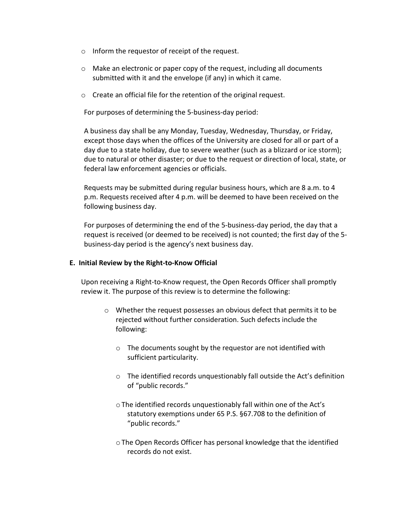- o Inform the requestor of receipt of the request.
- $\circ$  Make an electronic or paper copy of the request, including all documents submitted with it and the envelope (if any) in which it came.
- o Create an official file for the retention of the original request.

For purposes of determining the 5-business-day period:

A business day shall be any Monday, Tuesday, Wednesday, Thursday, or Friday, except those days when the offices of the University are closed for all or part of a day due to a state holiday, due to severe weather (such as a blizzard or ice storm); due to natural or other disaster; or due to the request or direction of local, state, or federal law enforcement agencies or officials.

Requests may be submitted during regular business hours, which are 8 a.m. to 4 p.m. Requests received after 4 p.m. will be deemed to have been received on the following business day.

For purposes of determining the end of the 5-business-day period, the day that a request is received (or deemed to be received) is not counted; the first day of the 5 business-day period is the agency's next business day.

## **E. Initial Review by the Right-to-Know Official**

Upon receiving a Right-to-Know request, the Open Records Officer shall promptly review it. The purpose of this review is to determine the following:

- o Whether the request possesses an obvious defect that permits it to be rejected without further consideration. Such defects include the following:
	- o The documents sought by the requestor are not identified with sufficient particularity.
	- o The identified records unquestionably fall outside the Act's definition of "public records."
	- oThe identified records unquestionably fall within one of the Act's statutory exemptions under 65 P.S. §67.708 to the definition of "public records."
	- oThe Open Records Officer has personal knowledge that the identified records do not exist.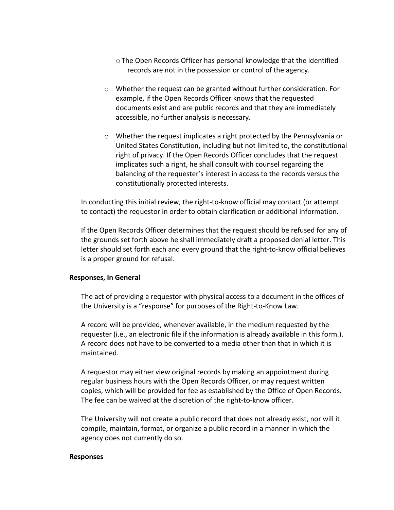- oThe Open Records Officer has personal knowledge that the identified records are not in the possession or control of the agency.
- $\circ$  Whether the request can be granted without further consideration. For example, if the Open Records Officer knows that the requested documents exist and are public records and that they are immediately accessible, no further analysis is necessary.
- o Whether the request implicates a right protected by the Pennsylvania or United States Constitution, including but not limited to, the constitutional right of privacy. If the Open Records Officer concludes that the request implicates such a right, he shall consult with counsel regarding the balancing of the requester's interest in access to the records versus the constitutionally protected interests.

In conducting this initial review, the right-to-know official may contact (or attempt to contact) the requestor in order to obtain clarification or additional information.

If the Open Records Officer determines that the request should be refused for any of the grounds set forth above he shall immediately draft a proposed denial letter. This letter should set forth each and every ground that the right-to-know official believes is a proper ground for refusal.

#### **Responses, In General**

The act of providing a requestor with physical access to a document in the offices of the University is a "response" for purposes of the Right-to-Know Law.

A record will be provided, whenever available, in the medium requested by the requester (i.e., an electronic file if the information is already available in this form.). A record does not have to be converted to a media other than that in which it is maintained.

A requestor may either view original records by making an appointment during regular business hours with the Open Records Officer, or may request written copies, which will be provided for fee as established by the Office of Open Records. The fee can be waived at the discretion of the right-to-know officer.

The University will not create a public record that does not already exist, nor will it compile, maintain, format, or organize a public record in a manner in which the agency does not currently do so.

#### **Responses**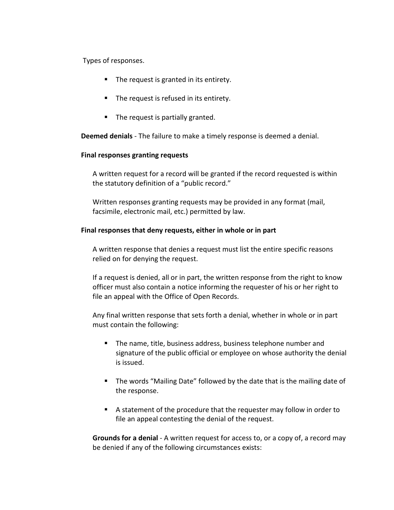Types of responses.

- The request is granted in its entirety.
- The request is refused in its entirety.
- $\blacksquare$  The request is partially granted.

**Deemed denials** - The failure to make a timely response is deemed a denial.

#### **Final responses granting requests**

A written request for a record will be granted if the record requested is within the statutory definition of a "public record."

Written responses granting requests may be provided in any format (mail, facsimile, electronic mail, etc.) permitted by law.

### **Final responses that deny requests, either in whole or in part**

A written response that denies a request must list the entire specific reasons relied on for denying the request.

If a request is denied, all or in part, the written response from the right to know officer must also contain a notice informing the requester of his or her right to file an appeal with the Office of Open Records.

Any final written response that sets forth a denial, whether in whole or in part must contain the following:

- **The name, title, business address, business telephone number and** signature of the public official or employee on whose authority the denial is issued.
- **The words "Mailing Date" followed by the date that is the mailing date of** the response.
- A statement of the procedure that the requester may follow in order to file an appeal contesting the denial of the request.

**Grounds for a denial** - A written request for access to, or a copy of, a record may be denied if any of the following circumstances exists: